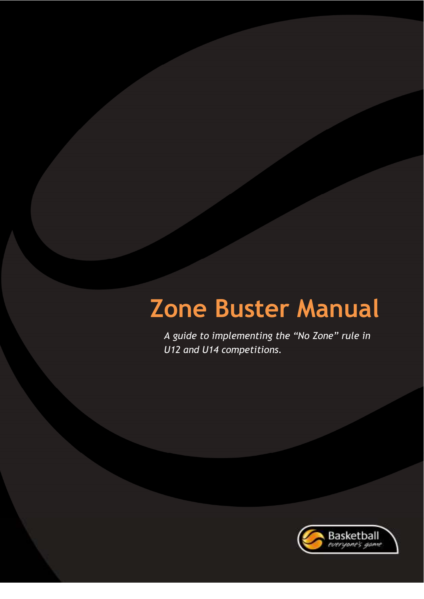*A guide to implementing the "No Zone" rule in U12 and U14 competitions.* 

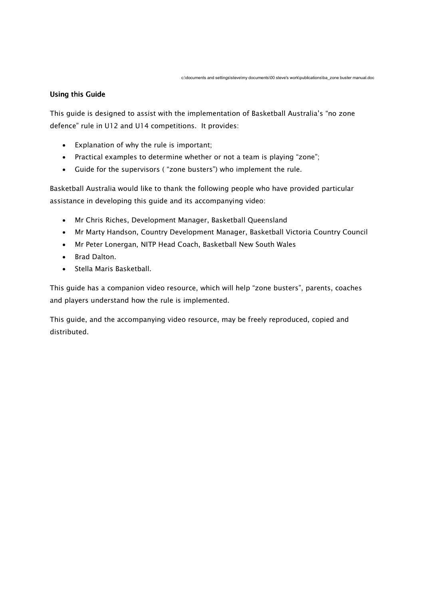# **Using this Guide**

*This guide is designed to assist with the implementation of Basketball Australia's "no zone defence" rule in U12 and U14 competitions. It provides:* 

- *Explanation of why the rule is important;*
- *Practical examples to determine whether or not a team is playing "zone";*
- *Guide for the supervisors ( "zone busters") who implement the rule.*

*Basketball Australia would like to thank the following people who have provided particular assistance in developing this guide and its accompanying video:* 

- *Mr Chris Riches, Development Manager, Basketball Queensland*
- *Mr Marty Handson, Country Development Manager, Basketball Victoria Country Council*
- *Mr Peter Lonergan, NITP Head Coach, Basketball New South Wales*
- *Brad Dalton.*
- *Stella Maris Basketball.*

*This guide has a companion video resource, which will help "zone busters", parents, coaches and players understand how the rule is implemented.*

*This guide, and the accompanying video resource, may be freely reproduced, copied and distributed.*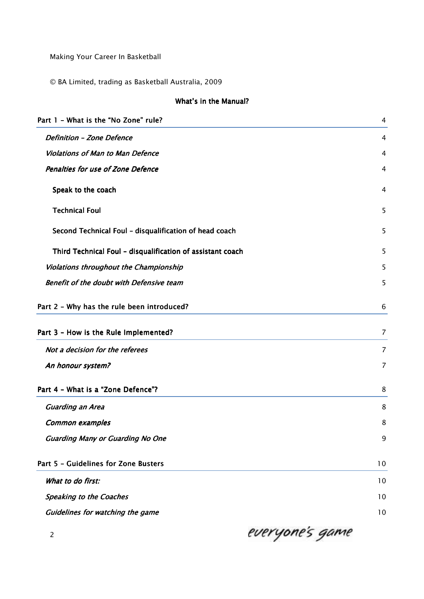*Making Your Career In Basketball* 

*© BA Limited, trading as Basketball Australia, 2009*

# **What's in the Manual?**

| Part 1 - What is the "No Zone" rule?                       | 4              |
|------------------------------------------------------------|----------------|
| <b>Definition - Zone Defence</b>                           | $\overline{4}$ |
| <b>Violations of Man to Man Defence</b>                    | 4              |
| <b>Penalties for use of Zone Defence</b>                   | 4              |
| Speak to the coach                                         | 4              |
| <b>Technical Foul</b>                                      | 5              |
| Second Technical Foul - disqualification of head coach     | 5              |
| Third Technical Foul - disqualification of assistant coach | 5              |
| Violations throughout the Championship                     | 5              |
| Benefit of the doubt with Defensive team                   | 5              |
| Part 2 - Why has the rule been introduced?                 | 6              |
| Part 3 - How is the Rule Implemented?                      | $\overline{7}$ |
| Not a decision for the referees                            | $\overline{7}$ |
| An honour system?                                          | $\overline{7}$ |
| Part 4 - What is a "Zone Defence"?                         | 8              |
| <b>Guarding an Area</b>                                    | 8              |
| <b>Common examples</b>                                     | 8              |
| <b>Guarding Many or Guarding No One</b>                    | 9              |
| Part 5 - Guidelines for Zone Busters                       | 10             |
| What to do first:                                          | 10             |
| <b>Speaking to the Coaches</b>                             | 10             |
| Guidelines for watching the game                           | 10             |

everyone's game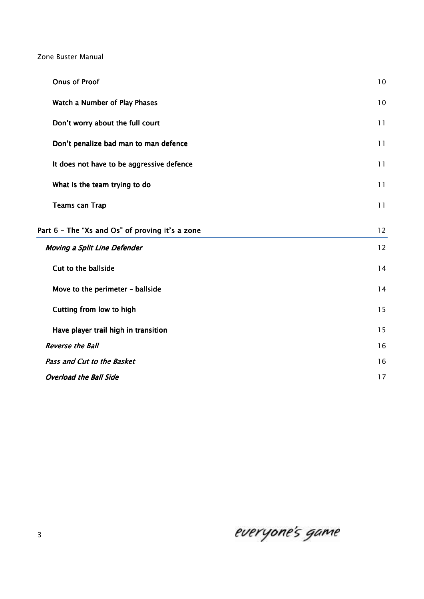| <b>Onus of Proof</b>                            | 10 |
|-------------------------------------------------|----|
| Watch a Number of Play Phases                   | 10 |
| Don't worry about the full court                | 11 |
| Don't penalize bad man to man defence           | 11 |
| It does not have to be aggressive defence       | 11 |
| What is the team trying to do                   | 11 |
| <b>Teams can Trap</b>                           | 11 |
| Part 6 - The "Xs and Os" of proving it's a zone | 12 |
| <b>Moving a Split Line Defender</b>             | 12 |
| Cut to the ballside                             | 14 |
| Move to the perimeter - ballside                | 14 |
| Cutting from low to high                        | 15 |
| Have player trail high in transition            | 15 |
| <b>Reverse the Ball</b>                         | 16 |
| Pass and Cut to the Basket                      | 16 |
| <b>Overload the Ball Side</b>                   | 17 |

everyone's game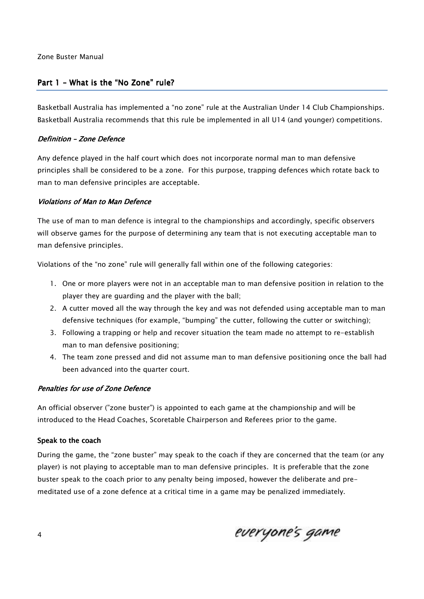# *Part 1 – What is the "No Zone" rule?*

*Basketball Australia has implemented a "no zone" rule at the Australian Under 14 Club Championships. Basketball Australia recommends that this rule be implemented in all U14 (and younger) competitions.* 

## *Definition – Definition –Zone Defence Zone DefenceDefence*

*Any defence played in the half court which does not incorporate normal man to man defensive principles shall be considered to be a zone. For this purpose, trapping defences which rotate back to man to man defensive principles are acceptable.* 

## *Violations of Man to Man Defence*

*The use of man to man defence is integral to the championships and accordingly, specific observers will observe games for the purpose of determining any team that is not executing acceptable man to man defensive principles.* 

*Violations of the "no zone" rule will generally fall within one of the following categories:* 

- *1. One or more players were not in an acceptable man to man defensive position in relation to the player they are guarding and the player with the ball;*
- *2. A cutter moved all the way through the key and was not defended using acceptable man to man defensive techniques (for example, "bumping" the cutter, following the cutter or switching);*
- *3. Following a trapping or help and recover situation the team made no attempt to re-establish man to man defensive positioning;*
- *4. The team zone pressed and did not assume man to man defensive positioning once the ball had been advanced into the quarter court.*

## **Penalties for use of Zone Defence**

*An official observer ("zone buster") is appointed to each game at the championship and will be introduced to the Head Coaches, Scoretable Chairperson and Referees prior to the game.* 

#### *Speak to the coach to the*

*During the game, the "zone buster" may speak to the coach if they are concerned that the team (or any player) is not playing to acceptable man to man defensive principles. It is preferable that the zone buster speak to the coach prior to any penalty being imposed, however the deliberate and premeditated use of a zone defence at a critical time in a game may be penalized immediately.* 

everyone's game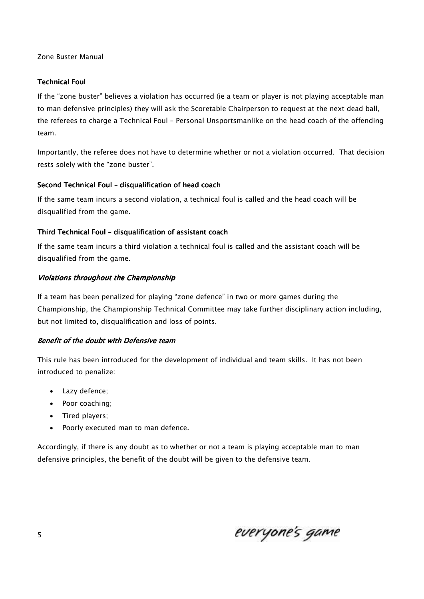# *Technical Foul Technical Foul*

*If the "zone buster" believes a violation has occurred (ie a team or player is not playing acceptable man to man defensive principles) they will ask the Scoretable Chairperson to request at the next dead ball, the referees to charge a Technical Foul – Personal Unsportsmanlike on the head coach of the offending team.* 

*Importantly, the referee does not have to determine whether or not a violation occurred. That decision rests solely with the "zone buster".* 

## *Second Technical Foul Second Technical Foul echnical Foul –disqualification of head coach disqualification of head coach disqualification of head coach*

*If the same team incurs a second violation, a technical foul is called and the head coach will be disqualified from the game.* 

## *Third Technical Foul – disqualification of assistant coach*

*If the same team incurs a third violation a technical foul is called and the assistant coach will be disqualified from the game.* 

## *Violations throughout the Championship Violations the*

*If a team has been penalized for playing "zone defence" in two or more games during the Championship, the Championship Technical Committee may take further disciplinary action including, but not limited to, disqualification and loss of points.* 

## **Benefit of the doubt with Defensive team**

*This rule has been introduced for the development of individual and team skills. It has not been introduced to penalize:* 

- *Lazy defence;*
- *Poor coaching;*
- *Tired players;*
- *Poorly executed man to man defence.*

*Accordingly, if there is any doubt as to whether or not a team is playing acceptable man to man defensive principles, the benefit of the doubt will be given to the defensive team.* 

everyone's game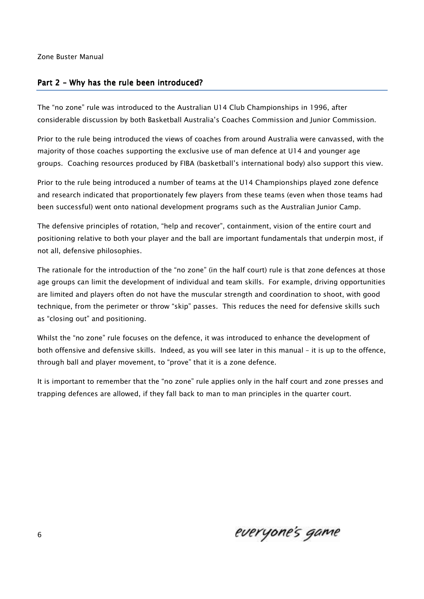## *Part 2 – Why has the rule been introduced?*

*The "no zone" rule was introduced to the Australian U14 Club Championships in 1996, after considerable discussion by both Basketball Australia's Coaches Commission and Junior Commission.* 

*Prior to the rule being introduced the views of coaches from around Australia were canvassed, with the majority of those coaches supporting the exclusive use of man defence at U14 and younger age groups. Coaching resources produced by FIBA (basketball's international body) also support this view.* 

*Prior to the rule being introduced a number of teams at the U14 Championships played zone defence and research indicated that proportionately few players from these teams (even when those teams had been successful) went onto national development programs such as the Australian Junior Camp.* 

*The defensive principles of rotation, "help and recover", containment, vision of the entire court and positioning relative to both your player and the ball are important fundamentals that underpin most, if not all, defensive philosophies.* 

*The rationale for the introduction of the "no zone" (in the half court) rule is that zone defences at those age groups can limit the development of individual and team skills. For example, driving opportunities are limited and players often do not have the muscular strength and coordination to shoot, with good technique, from the perimeter or throw "skip" passes. This reduces the need for defensive skills such as "closing out" and positioning.* 

*Whilst the "no zone" rule focuses on the defence, it was introduced to enhance the development of both offensive and defensive skills. Indeed, as you will see later in this manual – it is up to the offence, through ball and player movement, to "prove" that it is a zone defence.* 

*It is important to remember that the "no zone" rule applies only in the half court and zone presses and trapping defences are allowed, if they fall back to man to man principles in the quarter court.* 

everyone's game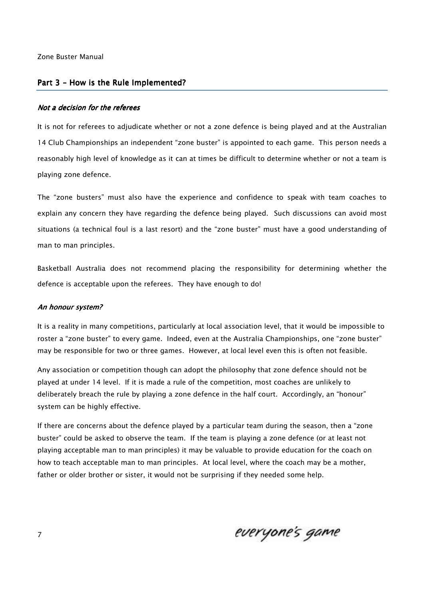#### *Part 3 – How is the Rule Implemented?*

#### *Not a decision for the referees*

*It is not for referees to adjudicate whether or not a zone defence is being played and at the Australian 14 Club Championships an independent "zone buster" is appointed to each game. This person needs a reasonably high level of knowledge as it can at times be difficult to determine whether or not a team is playing zone defence.* 

*The "zone busters" must also have the experience and confidence to speak with team coaches to explain any concern they have regarding the defence being played. Such discussions can avoid most situations (a technical foul is a last resort) and the "zone buster" must have a good understanding of man to man principles.* 

*Basketball Australia does not recommend placing the responsibility for determining whether the defence is acceptable upon the referees. They have enough to do!* 

#### *An honour system? An honour system?*

*It is a reality in many competitions, particularly at local association level, that it would be impossible to roster a "zone buster" to every game. Indeed, even at the Australia Championships, one "zone buster" may be responsible for two or three games. However, at local level even this is often not feasible.* 

*Any association or competition though can adopt the philosophy that zone defence should not be played at under 14 level. If it is made a rule of the competition, most coaches are unlikely to deliberately breach the rule by playing a zone defence in the half court. Accordingly, an "honour" system can be highly effective.* 

*If there are concerns about the defence played by a particular team during the season, then a "zone buster" could be asked to observe the team. If the team is playing a zone defence (or at least not playing acceptable man to man principles) it may be valuable to provide education for the coach on how to teach acceptable man to man principles. At local level, where the coach may be a mother, father or older brother or sister, it would not be surprising if they needed some help.*

everyone's game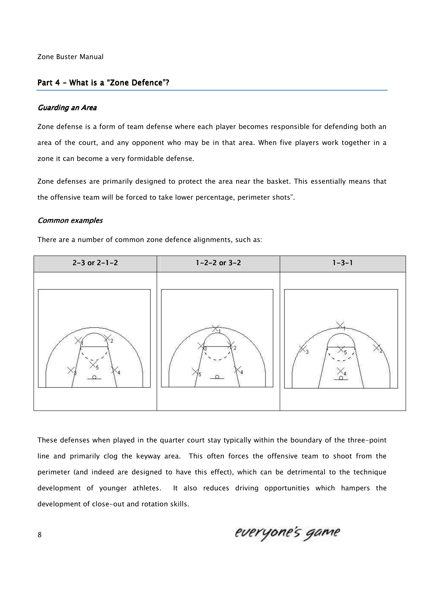## *Part 4 – What is a "Zone Defence"?*

#### *Guarding an Area Guarding uarding Area*

*Zone defense is a form of team defense where each player becomes responsible for defending both an area of the court, and any opponent who may be in that area. When five players work together in a zone it can become a very formidable defense.* 

*Zone defenses are primarily designed to protect the area near the basket. This essentially means that the offensive team will be forced to take lower percentage, perimeter shots".* 

#### *Common examples*

*There are a number of common zone defence alignments, such as:* 



*These defenses when played in the quarter court stay typically within the boundary of the three-point line and primarily clog the keyway area. This often forces the offensive team to shoot from the perimeter (and indeed are designed to have this effect), which can be detrimental to the technique development of younger athletes. It also reduces driving opportunities which hampers the development of close-out and rotation skills.* 

everyone's game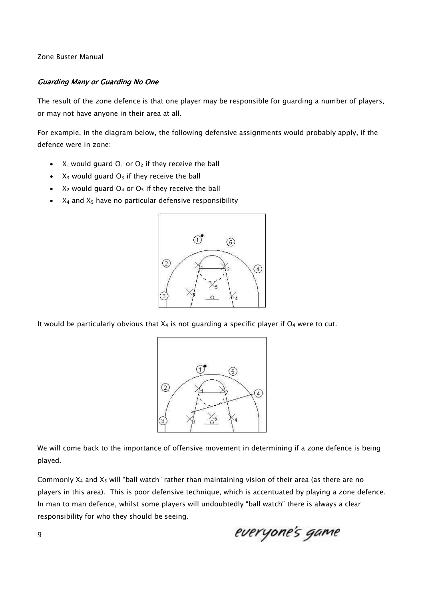# **Guarding Many or Guarding No One**

*The result of the zone defence is that one player may be responsible for guarding a number of players, or may not have anyone in their area at all.* 

For example, in the diagram below, the following defensive assignments would probably apply, if the *defence were in zone:* 

- *X1 would guard O1 or O2 if they receive the ball*
- *X3 would guard O3 if they receive the ball*
- *X2 would guard O4 or O5 if they receive the ball*
- *X4 and X5 have no particular defensive responsibility*



*It would be particularly obvious that X4 is not guarding a specific player if O4 were to cut.* 



We will come back to the importance of offensive movement in determining if a zone defence is being *played.* 

*Commonly X4 and X5 will "ball watch" rather than maintaining vision of their area (as there are no players in this area). This is poor defensive technique, which is accentuated by playing a zone defence. In man to man defence, whilst some players will undoubtedly "ball watch" there is always a clear responsibility for who they should be seeing.* 

everyone's game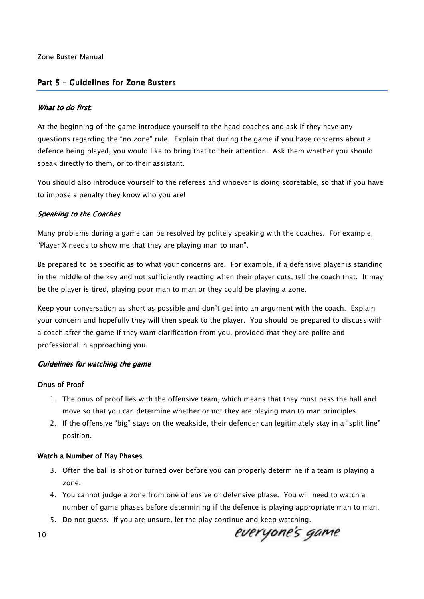# *Part 5 – Guidelines for Zone Busters*

## *What to do first:*

*At the beginning of the game introduce yourself to the head coaches and ask if they have any questions regarding the "no zone" rule. Explain that during the game if you have concerns about a defence being played, you would like to bring that to their attention. Ask them whether you should speak directly to them, or to their assistant.* 

*You should also introduce yourself to the referees and whoever is doing scoretable, so that if you have to impose a penalty they know who you are!* 

## **Speaking to the Coaches**

*Many problems during a game can be resolved by politely speaking with the coaches. For example, "Player X needs to show me that they are playing man to man".* 

*Be prepared to be specific as to what your concerns are. For example, if a defensive player is standing in the middle of the key and not sufficiently reacting when their player cuts, tell the coach that. It may be the player is tired, playing poor man to man or they could be playing a zone.* 

*Keep your conversation as short as possible and don't get into an argument with the coach. Explain your concern and hopefully they will then speak to the player. You should be prepared to discuss with a coach after the game if they want clarification from you, provided that they are polite and professional in approaching you.* 

## **Guidelines for watching the game**

#### **Onus of Proof**

- *1. The onus of proof lies with the offensive team, which means that they must pass the ball and move so that you can determine whether or not they are playing man to man principles.*
- *2. If the offensive "big" stays on the weakside, their defender can legitimately stay in a "split line" position.*

#### **Watch a Number of Play Phases**

- *3. Often the ball is shot or turned over before you can properly determine if a team is playing a zone.*
- *4. You cannot judge a zone from one offensive or defensive phase. You will need to watch a number of game phases before determining if the defence is playing appropriate man to man.*
- *5. Do not guess. If you are unsure, let the play continue and keep watching.*

everyone's game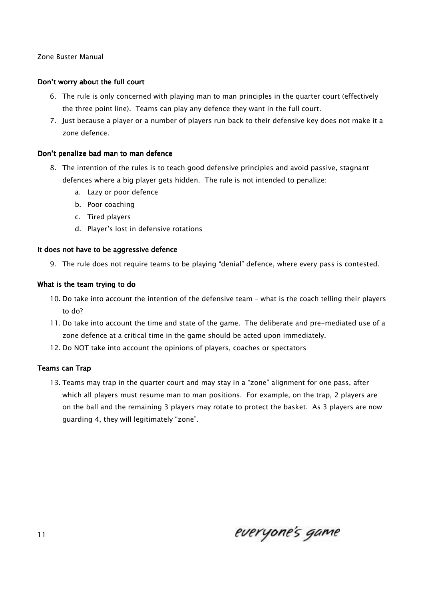# *Don't worry about the full court worry about*

- *6. The rule is only concerned with playing man to man principles in the quarter court (effectively the three point line). Teams can play any defence they want in the full court.*
- *7. Just because a player or a number of players run back to their defensive key does not make it a zone defence.*

## *Don't penalize bad man to man defence*

- *8. The intention of the rules is to teach good defensive principles and avoid passive, stagnant defences where a big player gets hidden. The rule is not intended to penalize:* 
	- *a. Lazy or poor defence*
	- *b. Poor coaching*
	- *c. Tired players*
	- *d. Player's lost in defensive rotations*

## It does not have to be aggressive defence

*9. The rule does not require teams to be playing "denial" defence, where every pass is contested.* 

## *What is the team trying to do do*

- *10. Do take into account the intention of the defensive team what is the coach telling their players to do?*
- *11. Do take into account the time and state of the game. The deliberate and pre-mediated use of a zone defence at a critical time in the game should be acted upon immediately.*
- *12. Do NOT take into account the opinions of players, coaches or spectators*

## **Teams can Trap**

*13. Teams may trap in the quarter court and may stay in a "zone" alignment for one pass, after which all players must resume man to man positions. For example, on the trap, 2 players are on the ball and the remaining 3 players may rotate to protect the basket. As 3 players are now guarding 4, they will legitimately "zone".* 

everyone's game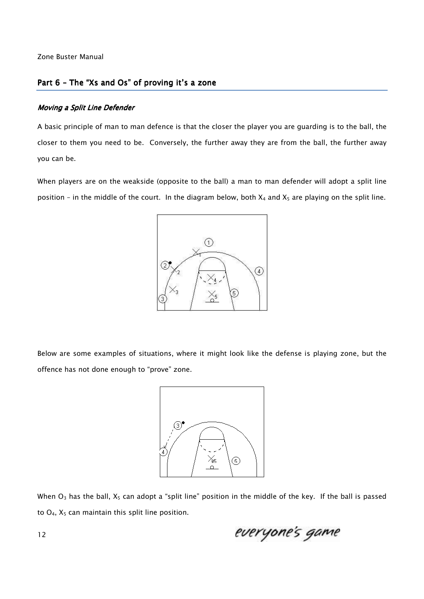# *Part 6 – The "Xs and Os" of proving it's a zone*

#### **Moving a Split Line Defender**

*A basic principle of man to man defence is that the closer the player you are guarding is to the ball, the closer to them you need to be. Conversely, the further away they are from the ball, the further away you can be.* 

*When players are on the weakside (opposite to the ball) a man to man defender will adopt a split line position – in the middle of the court. In the diagram below, both X4 and X5 are playing on the split line.* 



*Below are some examples of situations, where it might look like the defense is playing zone, but the offence has not done enough to "prove" zone.* 



*When O3 has the ball, X5 can adopt a "split line" position in the middle of the key. If the ball is passed to O4, X5 can maintain this split line position.* 

everyone's game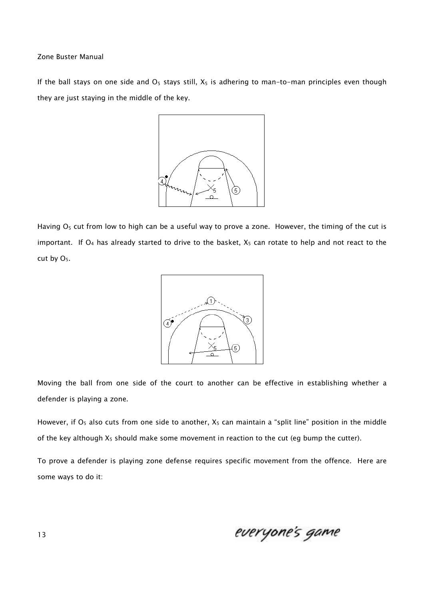*If the ball stays on one side and O5 stays still, X5 is adhering to man-to-man principles even though they are just staying in the middle of the key.* 



*Having O5 cut from low to high can be a useful way to prove a zone. However, the timing of the cut is important. If O4 has already started to drive to the basket, X5 can rotate to help and not react to the cut by O5.* 



*Moving the ball from one side of the court to another can be effective in establishing whether a defender is playing a zone.* 

*However, if O5 also cuts from one side to another, X5 can maintain a "split line" position in the middle of the key although X5 should make some movement in reaction to the cut (eg bump the cutter).* 

*To prove a defender is playing zone defense requires specific movement from the offence. Here are some ways to do it:* 

everyone's game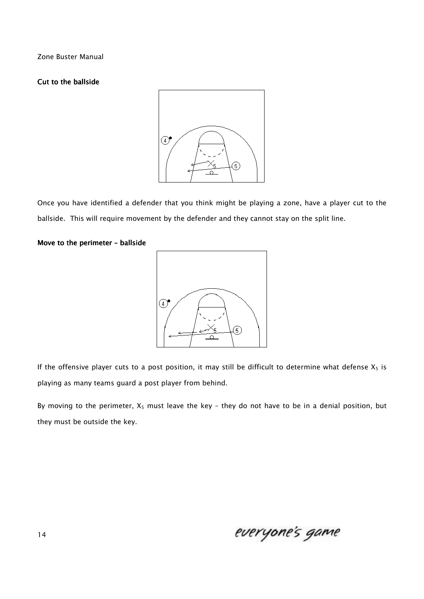# *Cut to the ballside*



*Once you have identified a defender that you think might be playing a zone, have a player cut to the ballside. This will require movement by the defender and they cannot stay on the split line.* 

#### *Move to the perimeter – Move the perimeter –ballside ballsideballside*



*If the offensive player cuts to a post position, it may still be difficult to determine what defense X5 is playing as many teams guard a post player from behind.* 

*By moving to the perimeter, X5 must leave the key – they do not have to be in a denial position, but they must be outside the key.* 

everyone's game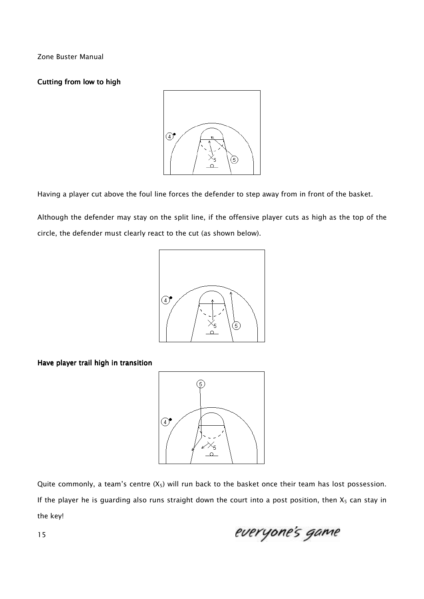# **Cutting from low to high**



*Having a player cut above the foul line forces the defender to step away from in front of the basket.* 

*Although the defender may stay on the split line, if the offensive player cuts as high as the top of the circle, the defender must clearly react to the cut (as shown below).* 



*Have player trail high in transition player trail high in transition* 



*Quite commonly, a team's centre (X5) will run back to the basket once their team has lost possession. If the player he is guarding also runs straight down the court into a post position, then X5 can stay in the key!* 

everyone's game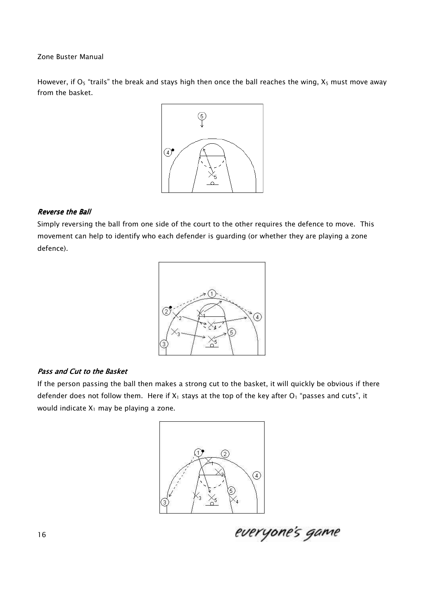*However, if O5 "trails" the break and stays high then once the ball reaches the wing, X5 must move away from the basket.* 



## *Reverse the Ball Reverse the Ball*

*Simply reversing the ball from one side of the court to the other requires the defence to move. This movement can help to identify who each defender is guarding (or whether they are playing a zone defence).* 



## **Pass and Cut to the Basket**

*If the person passing the ball then makes a strong cut to the basket, it will quickly be obvious if there defender does not follow them. Here if X1 stays at the top of the key after O1 "passes and cuts", it would indicate X1 may be playing a zone.* 



everyone's game